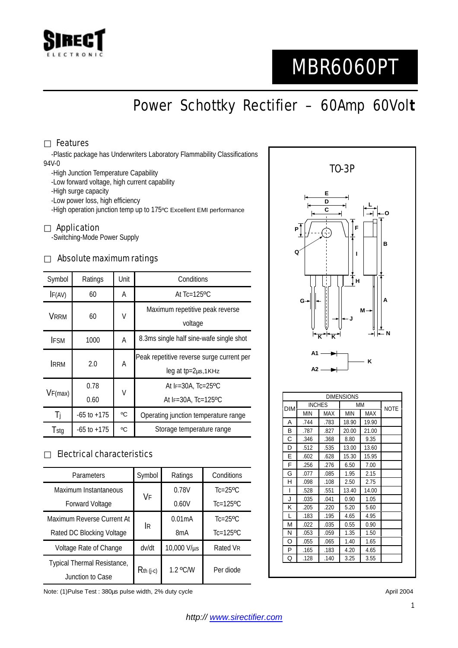

# MBR6060PT

Power Schottky Rectifier – 60Amp 60Vol**t**

### Features

-Plastic package has Underwriters Laboratory Flammability Classifications 94V-0

-High Junction Temperature Capability

-Low forward voltage, high current capability

-High surge capacity

-Low power loss, high efficiency

-High operation junction temp up to 175ºC Excellent EMI performance

#### Application

-Switching-Mode Power Supply

#### Absolute maximum ratings

| Symbol      | Ratings         | Unit | Conditions                                                      |  |
|-------------|-----------------|------|-----------------------------------------------------------------|--|
| IF(AV)      | 60              | Α    | At $Tc=125$ <sup>o</sup> $C$                                    |  |
| <b>VRRM</b> | 60              | V    | Maximum repetitive peak reverse<br>voltage                      |  |
| <b>IFSM</b> | 1000            | A    | 8.3ms single half sine-wafe single shot                         |  |
| <b>IRRM</b> | 2.0             | Α    | Peak repetitive reverse surge current per<br>leg at tp=2µs,1KHz |  |
| VF(max)     | 0.78<br>0.60    | V    | At $IF=30A$ , $Tc=25^{\circ}C$<br>At $F=30A$ . Tc=125°C         |  |
| Ti          | $-65$ to $+175$ | °C   | Operating junction temperature range                            |  |
| Tstg        | $-65$ to $+175$ | °C   | Storage temperature range                                       |  |

## Electrical characteristics

| Parameters                  | Symbol      | Ratings          | Conditions                |
|-----------------------------|-------------|------------------|---------------------------|
| Maximum Instantaneous       | VF          | 0.78V            | $Tc=25$ <sup>o</sup> $C$  |
| <b>Forward Voltage</b>      |             | 0.60V            | $Tc=125$ <sup>o</sup> C   |
| Maximum Reverse Current At  |             | 0.01mA           | $Tc=25$ <sup>o</sup> $C$  |
| Rated DC Blocking Voltage   | lR.         | 8 <sub>m</sub> A | $Tc=125$ <sup>o</sup> $C$ |
| Voltage Rate of Change      | dv/dt       | 10,000 V/µs      | Rated VR                  |
| Typical Thermal Resistance, | $Rth$ (j-c) | 1.2 °C/W         | Per diode                 |
| Junction to Case            |             |                  |                           |

Note: (1)Pulse Test : 380µs pulse width, 2% duty cycle April 2004 and the April 2004